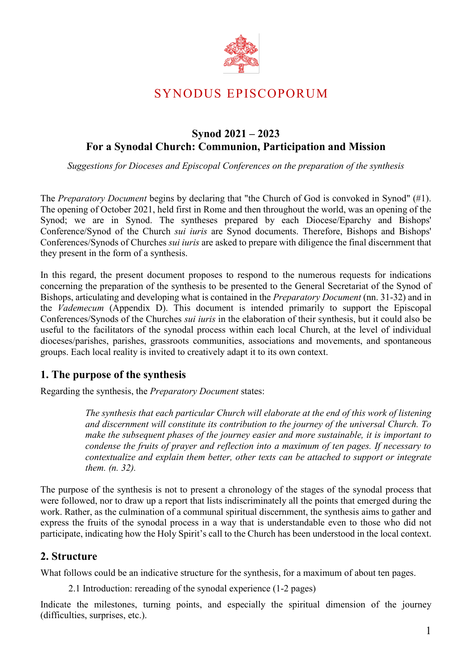

# SYNODUS EPISCOPORUM

## **Synod 2021 – 2023 For a Synodal Church: Communion, Participation and Mission**

*Suggestions for Dioceses and Episcopal Conferences on the preparation of the synthesis*

The *Preparatory Document* begins by declaring that "the Church of God is convoked in Synod" (#1). The opening of October 2021, held first in Rome and then throughout the world, was an opening of the Synod; we are in Synod. The syntheses prepared by each Diocese/Eparchy and Bishops' Conference/Synod of the Church *sui iuris* are Synod documents. Therefore, Bishops and Bishops' Conferences/Synods of Churches *sui iuris* are asked to prepare with diligence the final discernment that they present in the form of a synthesis.

In this regard, the present document proposes to respond to the numerous requests for indications concerning the preparation of the synthesis to be presented to the General Secretariat of the Synod of Bishops, articulating and developing what is contained in the *Preparatory Document* (nn. 31-32) and in the *Vademecum* (Appendix D). This document is intended primarily to support the Episcopal Conferences/Synods of the Churches *sui iuris* in the elaboration of their synthesis, but it could also be useful to the facilitators of the synodal process within each local Church, at the level of individual dioceses/parishes, parishes, grassroots communities, associations and movements, and spontaneous groups. Each local reality is invited to creatively adapt it to its own context.

## **1. The purpose of the synthesis**

Regarding the synthesis, the *Preparatory Document* states:

*The synthesis that each particular Church will elaborate at the end of this work of listening and discernment will constitute its contribution to the journey of the universal Church. To make the subsequent phases of the journey easier and more sustainable, it is important to condense the fruits of prayer and reflection into a maximum of ten pages. If necessary to contextualize and explain them better, other texts can be attached to support or integrate them. (n. 32).* 

The purpose of the synthesis is not to present a chronology of the stages of the synodal process that were followed, nor to draw up a report that lists indiscriminately all the points that emerged during the work. Rather, as the culmination of a communal spiritual discernment, the synthesis aims to gather and express the fruits of the synodal process in a way that is understandable even to those who did not participate, indicating how the Holy Spirit's call to the Church has been understood in the local context.

### **2. Structure**

What follows could be an indicative structure for the synthesis, for a maximum of about ten pages.

2.1 Introduction: rereading of the synodal experience (1-2 pages)

Indicate the milestones, turning points, and especially the spiritual dimension of the journey (difficulties, surprises, etc.).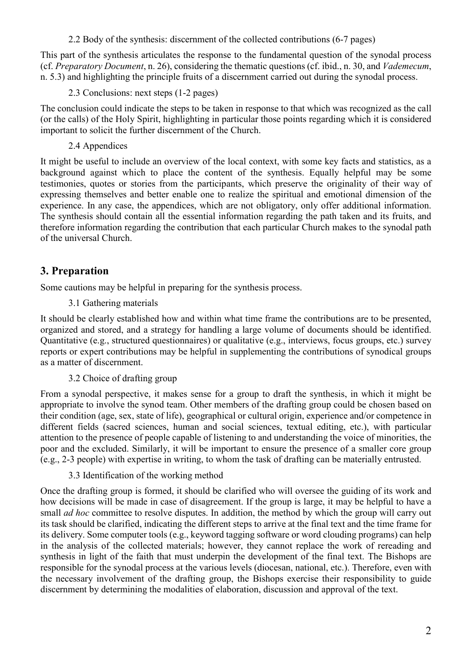2.2 Body of the synthesis: discernment of the collected contributions (6-7 pages)

This part of the synthesis articulates the response to the fundamental question of the synodal process (cf. *Preparatory Document*, n. 26), considering the thematic questions (cf. ibid., n. 30, and *Vademecum*, n. 5.3) and highlighting the principle fruits of a discernment carried out during the synodal process.

2.3 Conclusions: next steps (1-2 pages)

The conclusion could indicate the steps to be taken in response to that which was recognized as the call (or the calls) of the Holy Spirit, highlighting in particular those points regarding which it is considered important to solicit the further discernment of the Church.

2.4 Appendices

It might be useful to include an overview of the local context, with some key facts and statistics, as a background against which to place the content of the synthesis. Equally helpful may be some testimonies, quotes or stories from the participants, which preserve the originality of their way of expressing themselves and better enable one to realize the spiritual and emotional dimension of the experience. In any case, the appendices, which are not obligatory, only offer additional information. The synthesis should contain all the essential information regarding the path taken and its fruits, and therefore information regarding the contribution that each particular Church makes to the synodal path of the universal Church.

## **3. Preparation**

Some cautions may be helpful in preparing for the synthesis process.

3.1 Gathering materials

It should be clearly established how and within what time frame the contributions are to be presented, organized and stored, and a strategy for handling a large volume of documents should be identified. Quantitative (e.g., structured questionnaires) or qualitative (e.g., interviews, focus groups, etc.) survey reports or expert contributions may be helpful in supplementing the contributions of synodical groups as a matter of discernment.

3.2 Choice of drafting group

From a synodal perspective, it makes sense for a group to draft the synthesis, in which it might be appropriate to involve the synod team. Other members of the drafting group could be chosen based on their condition (age, sex, state of life), geographical or cultural origin, experience and/or competence in different fields (sacred sciences, human and social sciences, textual editing, etc.), with particular attention to the presence of people capable of listening to and understanding the voice of minorities, the poor and the excluded. Similarly, it will be important to ensure the presence of a smaller core group (e.g., 2-3 people) with expertise in writing, to whom the task of drafting can be materially entrusted.

3.3 Identification of the working method

Once the drafting group is formed, it should be clarified who will oversee the guiding of its work and how decisions will be made in case of disagreement. If the group is large, it may be helpful to have a small *ad hoc* committee to resolve disputes. In addition, the method by which the group will carry out its task should be clarified, indicating the different steps to arrive at the final text and the time frame for its delivery. Some computer tools (e.g., keyword tagging software or word clouding programs) can help in the analysis of the collected materials; however, they cannot replace the work of rereading and synthesis in light of the faith that must underpin the development of the final text. The Bishops are responsible for the synodal process at the various levels (diocesan, national, etc.). Therefore, even with the necessary involvement of the drafting group, the Bishops exercise their responsibility to guide discernment by determining the modalities of elaboration, discussion and approval of the text.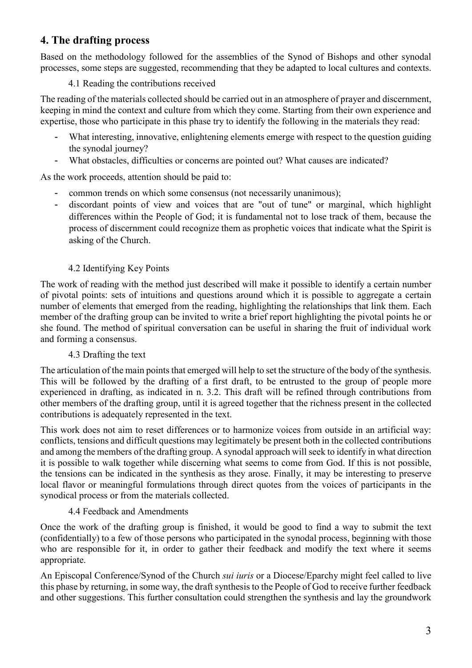## **4. The drafting process**

Based on the methodology followed for the assemblies of the Synod of Bishops and other synodal processes, some steps are suggested, recommending that they be adapted to local cultures and contexts.

#### 4.1 Reading the contributions received

The reading of the materials collected should be carried out in an atmosphere of prayer and discernment, keeping in mind the context and culture from which they come. Starting from their own experience and expertise, those who participate in this phase try to identify the following in the materials they read:

- What interesting, innovative, enlightening elements emerge with respect to the question guiding the synodal journey?
- What obstacles, difficulties or concerns are pointed out? What causes are indicated?

As the work proceeds, attention should be paid to:

- common trends on which some consensus (not necessarily unanimous);
- discordant points of view and voices that are "out of tune" or marginal, which highlight differences within the People of God; it is fundamental not to lose track of them, because the process of discernment could recognize them as prophetic voices that indicate what the Spirit is asking of the Church.

#### 4.2 Identifying Key Points

The work of reading with the method just described will make it possible to identify a certain number of pivotal points: sets of intuitions and questions around which it is possible to aggregate a certain number of elements that emerged from the reading, highlighting the relationships that link them. Each member of the drafting group can be invited to write a brief report highlighting the pivotal points he or she found. The method of spiritual conversation can be useful in sharing the fruit of individual work and forming a consensus.

#### 4.3 Drafting the text

The articulation of the main points that emerged will help to set the structure of the body of the synthesis. This will be followed by the drafting of a first draft, to be entrusted to the group of people more experienced in drafting, as indicated in n. 3.2. This draft will be refined through contributions from other members of the drafting group, until it is agreed together that the richness present in the collected contributions is adequately represented in the text.

This work does not aim to reset differences or to harmonize voices from outside in an artificial way: conflicts, tensions and difficult questions may legitimately be present both in the collected contributions and among the members of the drafting group. A synodal approach will seek to identify in what direction it is possible to walk together while discerning what seems to come from God. If this is not possible, the tensions can be indicated in the synthesis as they arose. Finally, it may be interesting to preserve local flavor or meaningful formulations through direct quotes from the voices of participants in the synodical process or from the materials collected.

#### 4.4 Feedback and Amendments

Once the work of the drafting group is finished, it would be good to find a way to submit the text (confidentially) to a few of those persons who participated in the synodal process, beginning with those who are responsible for it, in order to gather their feedback and modify the text where it seems appropriate.

An Episcopal Conference/Synod of the Church *sui iuris* or a Diocese/Eparchy might feel called to live this phase by returning, in some way, the draft synthesis to the People of God to receive further feedback and other suggestions. This further consultation could strengthen the synthesis and lay the groundwork